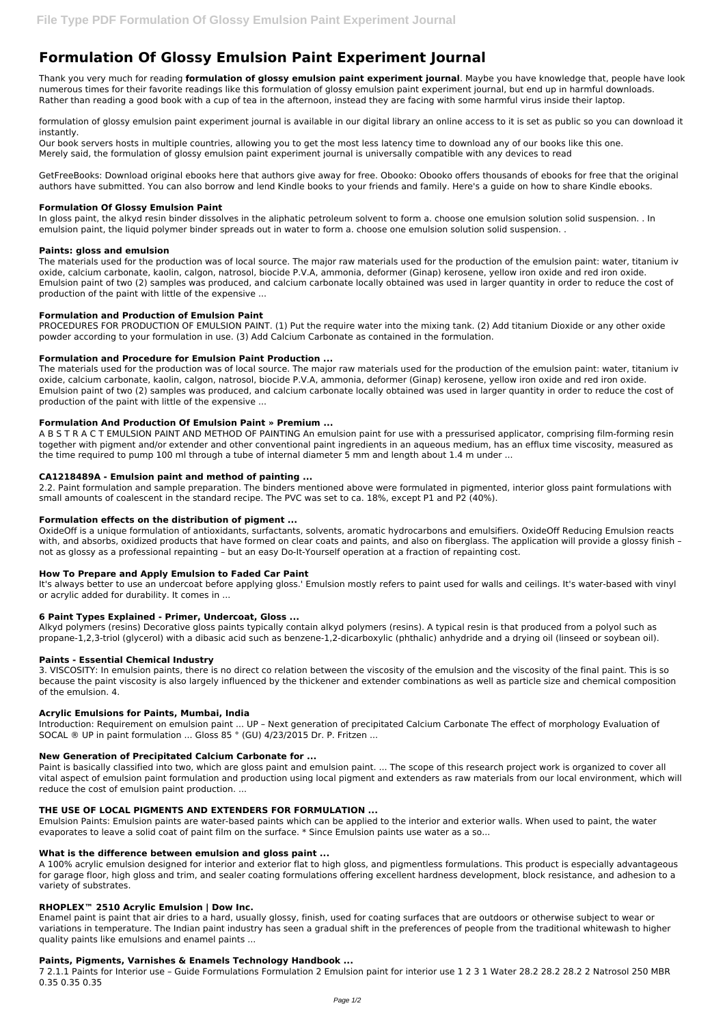# **Formulation Of Glossy Emulsion Paint Experiment Journal**

Thank you very much for reading **formulation of glossy emulsion paint experiment journal**. Maybe you have knowledge that, people have look numerous times for their favorite readings like this formulation of glossy emulsion paint experiment journal, but end up in harmful downloads. Rather than reading a good book with a cup of tea in the afternoon, instead they are facing with some harmful virus inside their laptop.

formulation of glossy emulsion paint experiment journal is available in our digital library an online access to it is set as public so you can download it instantly.

Our book servers hosts in multiple countries, allowing you to get the most less latency time to download any of our books like this one. Merely said, the formulation of glossy emulsion paint experiment journal is universally compatible with any devices to read

GetFreeBooks: Download original ebooks here that authors give away for free. Obooko: Obooko offers thousands of ebooks for free that the original authors have submitted. You can also borrow and lend Kindle books to your friends and family. Here's a guide on how to share Kindle ebooks.

### **Formulation Of Glossy Emulsion Paint**

In gloss paint, the alkyd resin binder dissolves in the aliphatic petroleum solvent to form a. choose one emulsion solution solid suspension. . In emulsion paint, the liquid polymer binder spreads out in water to form a. choose one emulsion solution solid suspension. .

## **Paints: gloss and emulsion**

The materials used for the production was of local source. The major raw materials used for the production of the emulsion paint: water, titanium iv oxide, calcium carbonate, kaolin, calgon, natrosol, biocide P.V.A, ammonia, deformer (Ginap) kerosene, yellow iron oxide and red iron oxide. Emulsion paint of two (2) samples was produced, and calcium carbonate locally obtained was used in larger quantity in order to reduce the cost of production of the paint with little of the expensive ...

## **Formulation and Production of Emulsion Paint**

PROCEDURES FOR PRODUCTION OF EMULSION PAINT. (1) Put the require water into the mixing tank. (2) Add titanium Dioxide or any other oxide powder according to your formulation in use. (3) Add Calcium Carbonate as contained in the formulation.

## **Formulation and Procedure for Emulsion Paint Production ...**

The materials used for the production was of local source. The major raw materials used for the production of the emulsion paint: water, titanium iv oxide, calcium carbonate, kaolin, calgon, natrosol, biocide P.V.A, ammonia, deformer (Ginap) kerosene, yellow iron oxide and red iron oxide. Emulsion paint of two (2) samples was produced, and calcium carbonate locally obtained was used in larger quantity in order to reduce the cost of production of the paint with little of the expensive ...

### **Formulation And Production Of Emulsion Paint » Premium ...**

A B S T R A C T EMULSION PAINT AND METHOD OF PAINTING An emulsion paint for use with a pressurised applicator, comprising film-forming resin together with pigment and/or extender and other conventional paint ingredients in an aqueous medium, has an efflux time viscosity, measured as the time required to pump 100 ml through a tube of internal diameter 5 mm and length about 1.4 m under ...

### **CA1218489A - Emulsion paint and method of painting ...**

2.2. Paint formulation and sample preparation. The binders mentioned above were formulated in pigmented, interior gloss paint formulations with small amounts of coalescent in the standard recipe. The PVC was set to ca. 18%, except P1 and P2 (40%).

## **Formulation effects on the distribution of pigment ...**

OxideOff is a unique formulation of antioxidants, surfactants, solvents, aromatic hydrocarbons and emulsifiers. OxideOff Reducing Emulsion reacts with, and absorbs, oxidized products that have formed on clear coats and paints, and also on fiberglass. The application will provide a glossy finish not as glossy as a professional repainting – but an easy Do-It-Yourself operation at a fraction of repainting cost.

### **How To Prepare and Apply Emulsion to Faded Car Paint**

It's always better to use an undercoat before applying gloss.' Emulsion mostly refers to paint used for walls and ceilings. It's water-based with vinyl or acrylic added for durability. It comes in ...

### **6 Paint Types Explained - Primer, Undercoat, Gloss ...**

Alkyd polymers (resins) Decorative gloss paints typically contain alkyd polymers (resins). A typical resin is that produced from a polyol such as propane-1,2,3-triol (glycerol) with a dibasic acid such as benzene-1,2-dicarboxylic (phthalic) anhydride and a drying oil (linseed or soybean oil).

### **Paints - Essential Chemical Industry**

3. VISCOSITY: In emulsion paints, there is no direct co relation between the viscosity of the emulsion and the viscosity of the final paint. This is so because the paint viscosity is also largely influenced by the thickener and extender combinations as well as particle size and chemical composition of the emulsion. 4.

### **Acrylic Emulsions for Paints, Mumbai, India**

Introduction: Requirement on emulsion paint ... UP – Next generation of precipitated Calcium Carbonate The effect of morphology Evaluation of SOCAL ® UP in paint formulation ... Gloss 85 ° (GU) 4/23/2015 Dr. P. Fritzen ...

### **New Generation of Precipitated Calcium Carbonate for ...**

Paint is basically classified into two, which are gloss paint and emulsion paint. ... The scope of this research project work is organized to cover all

vital aspect of emulsion paint formulation and production using local pigment and extenders as raw materials from our local environment, which will reduce the cost of emulsion paint production. ...

#### **THE USE OF LOCAL PIGMENTS AND EXTENDERS FOR FORMULATION ...**

Emulsion Paints: Emulsion paints are water-based paints which can be applied to the interior and exterior walls. When used to paint, the water evaporates to leave a solid coat of paint film on the surface. \* Since Emulsion paints use water as a so...

#### **What is the difference between emulsion and gloss paint ...**

A 100% acrylic emulsion designed for interior and exterior flat to high gloss, and pigmentless formulations. This product is especially advantageous for garage floor, high gloss and trim, and sealer coating formulations offering excellent hardness development, block resistance, and adhesion to a variety of substrates.

#### **RHOPLEX™ 2510 Acrylic Emulsion | Dow Inc.**

Enamel paint is paint that air dries to a hard, usually glossy, finish, used for coating surfaces that are outdoors or otherwise subject to wear or variations in temperature. The Indian paint industry has seen a gradual shift in the preferences of people from the traditional whitewash to higher quality paints like emulsions and enamel paints ...

#### **Paints, Pigments, Varnishes & Enamels Technology Handbook ...**

7 2.1.1 Paints for Interior use – Guide Formulations Formulation 2 Emulsion paint for interior use 1 2 3 1 Water 28.2 28.2 28.2 2 Natrosol 250 MBR 0.35 0.35 0.35